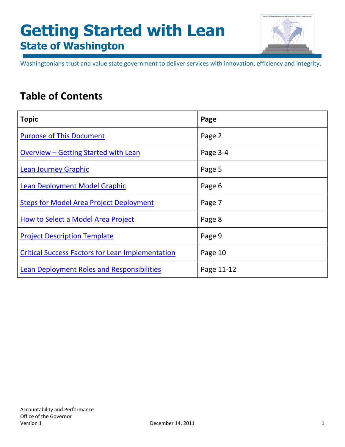

<span id="page-0-1"></span><span id="page-0-0"></span>Washingtonians trust and value state government to deliver services with innovation, efficiency and integrity.

# **Table of Contents**

| <b>Topic</b>                                            | Page       |
|---------------------------------------------------------|------------|
| <b>Purpose of This Document</b>                         | Page 2     |
| Overview – Getting Started with Lean                    | Page 3-4   |
| <b>Lean Journey Graphic</b>                             | Page 5     |
| <b>Lean Deployment Model Graphic</b>                    | Page 6     |
| <b>Steps for Model Area Project Deployment</b>          | Page 7     |
| How to Select a Model Area Project                      | Page 8     |
| <b>Project Description Template</b>                     | Page 9     |
| <b>Critical Success Factors for Lean Implementation</b> | Page 10    |
| Lean Deployment Roles and Responsibilities              | Page 11-12 |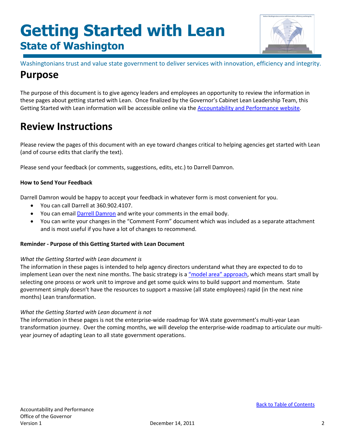

Washingtonians trust and value state government to deliver services with innovation, efficiency and integrity.

# <span id="page-1-0"></span>**Purpose**

The purpose of this document is to give agency leaders and employees an opportunity to review the information in these pages about getting started with Lean. Once finalized by the Governor's Cabinet Lean Leadership Team, this Getting Started with Lean information will be accessible online via the [Accountability and Performance website.](http://www.accountability.wa.gov/)

## **Review Instructions**

Please review the pages of this document with an eye toward changes critical to helping agencies get started with Lean (and of course edits that clarify the text).

Please send your feedback (or comments, suggestions, edits, etc.) to Darrell Damron.

### **How to Send Your Feedback**

Darrell Damron would be happy to accept your feedback in whatever form is most convenient for you.

- You can call Darrell at 360.902.4107.
- You can email **Darrell Damron** and write your comments in the email body.
- You can write your changes in the "Comment Form" document which was included as a separate attachment and is most useful if you have a lot of changes to recommend.

### **Reminder - Purpose of this Getting Started with Lean Document**

### *What the Getting Started with Lean document is*

The information in these pages is intended to help agency directors understand what they are expected to do to implement Lean over the next nine months. The basic strategy is [a "model area" approach,](#page-5-0) which means start small by selecting one process or work unit to improve and get some quick wins to build support and momentum. State government simply doesn't have the resources to support a massive (all state employees) rapid (in the next nine months) Lean transformation.

### *What the Getting Started with Lean document is not*

The information in these pages is not the enterprise-wide roadmap for WA state government's multi-year Lean transformation journey. Over the coming months, we will develop the enterprise-wide roadmap to articulate our multiyear journey of adapting Lean to all state government operations.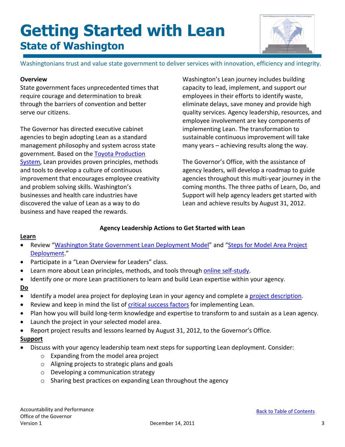

Washingtonians trust and value state government to deliver services with innovation, efficiency and integrity.

## <span id="page-2-0"></span>**Overview**

State government faces unprecedented times that require courage and determination to break through the barriers of convention and better serve our citizens.

The Governor has directed executive cabinet agencies to begin adopting Lean as a standard management philosophy and system across state government. Based on the [Toyota Production](http://www.toyota-global.com/company/vision_philosophy/toyota_production_system/)  [System,](http://www.toyota-global.com/company/vision_philosophy/toyota_production_system/) Lean provides proven principles, methods and tools to develop a culture of continuous improvement that encourages employee creativity and problem solving skills. Washington's businesses and health care industries have discovered the value of Lean as a way to do business and have reaped the rewards.

Washington's Lean journey includes building capacity to lead, implement, and support our employees in their efforts to identify waste, eliminate delays, save money and provide high quality services. Agency leadership, resources, and employee involvement are key components of implementing Lean. The transformation to sustainable continuous improvement will take many years – achieving results along the way.

The Governor's Office, with the assistance of agency leaders, will develop a roadmap to guide agencies throughout this multi-year journey in the coming months. The three paths of Learn, Do, and Support will help agency leaders get started with Lean and achieve results by August 31, 2012.

## **Agency Leadership Actions to Get Started with Lean**

### **Learn**

- Review "[Washington State Government Lean Deployment Model"](#page-5-0) and "Steps for Model Area Project [Deployment.](#page-6-0)"
- Participate in a "Lean Overview for Leaders" class.
- Learn more about Lean principles, methods, and tools through [online self-study.](http://www.accountability.wa.gov/leadership/lean/resources.asp)
- Identify one or more Lean practitioners to learn and build Lean expertise within your agency.

## **Do**

- Identify a model area project for deploying Lean in your agency and complete a [project description.](#page-8-0)
- Review and keep in mind the list of [critical success factors](#page-9-0) for implementing Lean.
- Plan how you will build long-term knowledge and expertise to transform to and sustain as a Lean agency.
- Launch the project in your selected model area.
- Report project results and lessons learned by August 31, 2012, to the Governor's Office.

### **Support**

- Discuss with your agency leadership team next steps for supporting Lean deployment. Consider:
	- o Expanding from the model area project
	- o Aligning projects to strategic plans and goals
	- o Developing a communication strategy
	- o Sharing best practices on expanding Lean throughout the agency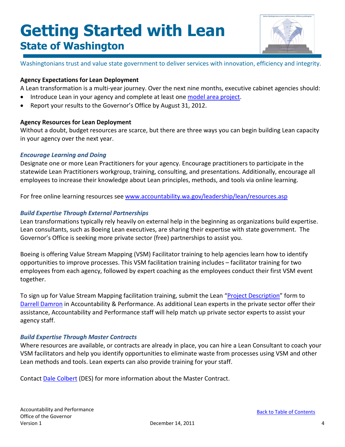

Washingtonians trust and value state government to deliver services with innovation, efficiency and integrity.

### **Agency Expectations for Lean Deployment**

A Lean transformation is a multi-year journey. Over the next nine months, executive cabinet agencies should:

- Introduce Lean in your agency and complete at least one [model area](#page-7-0) project.
- Report your results to the Governor's Office by August 31, 2012.

### **Agency Resources for Lean Deployment**

Without a doubt, budget resources are scarce, but there are three ways you can begin building Lean capacity in your agency over the next year.

### *Encourage Learning and Doing*

Designate one or more Lean Practitioners for your agency. Encourage practitioners to participate in the statewide Lean Practitioners workgroup, training, consulting, and presentations. Additionally, encourage all employees to increase their knowledge about Lean principles, methods, and tools via online learning.

For free online learning resources see [www.accountability.wa.gov/leadership/lean/resources.asp](http://www.accountability.wa.gov/leadership/lean/resources.asp)

## *Build Expertise Through External Partnerships*

Lean transformations typically rely heavily on external help in the beginning as organizations build expertise. Lean consultants, such as Boeing Lean executives, are sharing their expertise with state government. The Governor's Office is seeking more private sector (free) partnerships to assist you.

Boeing is offering Value Stream Mapping (VSM) Facilitator training to help agencies learn how to identify opportunities to improve processes. This VSM facilitation training includes – facilitator training for two employees from each agency, followed by expert coaching as the employees conduct their first VSM event together.

To sign up for Value Stream Mapping facilitation training, submit the Lean ["Project Description"](#page-8-0) form to [Darrell Damron](mailto:darrell.damron@gov.wa.gov?subject=Lean%20Project%20Description) in Accountability & Performance. As additional Lean experts in the private sector offer their assistance, Accountability and Performance staff will help match up private sector experts to assist your agency staff.

## *Build Expertise Through Master Contracts*

Where resources are available, or contracts are already in place, you can hire a Lean Consultant to coach your VSM facilitators and help you identify opportunities to eliminate waste from processes using VSM and other Lean methods and tools. Lean experts can also provide training for your staff.

Contact [Dale Colbert](mailto:dale.colbert@des.wa.gov?subject=Lean%20Master%20Contract) (DES) for more information about the Master Contract.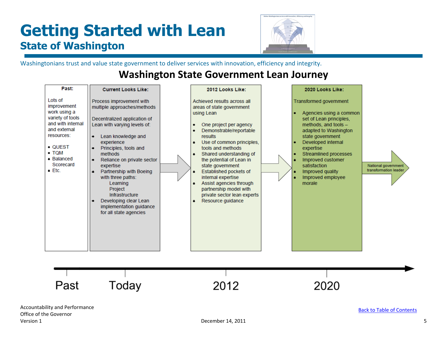

Washingtonians trust and value state government to deliver services with innovation, efficiency and integrity.

# **Washington State Government Lean Journey**

<span id="page-4-0"></span>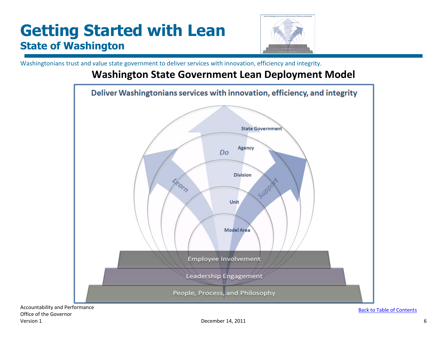

Washingtonians trust and value state government to deliver services with innovation, efficiency and integrity.

## **Washington State Government Lean Deployment Model**

<span id="page-5-0"></span>

Accountability and Performance Office of the Governor Version 1 december 14, 2011 **December 14, 2011** 6

[Back to Table of Contents](#page-0-1)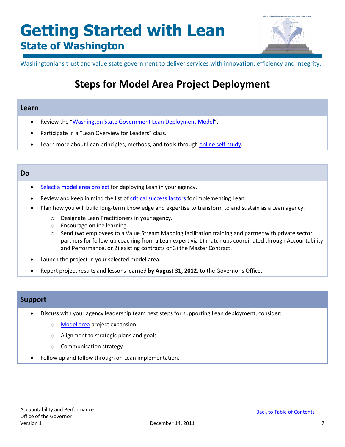

<span id="page-6-0"></span>Washingtonians trust and value state government to deliver services with innovation, efficiency and integrity.

# **Steps for Model Area Project Deployment**

## **Learn**

- Review the ["Washington State Government Lean Deployment Model"](#page-5-0).
- Participate in a "Lean Overview for Leaders" class.
- Learn more about Lean principles, methods, and tools through [online self-study.](http://www.accountability.wa.gov/leadership/lean/resources.asp)

## **Do**

- [Select a model area project](#page-7-0) for deploying Lean in your agency.
- Review and keep in mind the list of [critical success factors](#page-9-0) for implementing Lean.
- Plan how you will build long-term knowledge and expertise to transform to and sustain as a Lean agency.
	- o Designate Lean Practitioners in your agency.
	- o Encourage online learning.
	- $\circ$  Send two employees to a Value Stream Mapping facilitation training and partner with private sector partners for follow-up coaching from a Lean expert via 1) match ups coordinated through Accountability and Performance, or 2) existing contracts or 3) the Master Contract.
- Launch the project in your selected model area.
- Report project results and lessons learned **by August 31, 2012,** to the Governor's Office.

## **Support**

- Discuss with your agency leadership team next steps for supporting Lean deployment, consider:
	- o [Model area](#page-5-0) project expansion
	- o Alignment to strategic plans and goals
	- o Communication strategy
- Follow up and follow through on Lean implementation.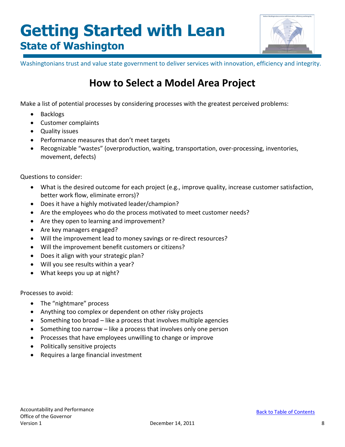

<span id="page-7-0"></span>Washingtonians trust and value state government to deliver services with innovation, efficiency and integrity.

# **How to Select a Model Area Project**

Make a list of potential processes by considering processes with the greatest perceived problems:

- Backlogs
- Customer complaints
- Quality issues
- Performance measures that don't meet targets
- Recognizable "wastes" (overproduction, waiting, transportation, over-processing, inventories, movement, defects)

Questions to consider:

- What is the desired outcome for each project (e.g., improve quality, increase customer satisfaction, better work flow, eliminate errors)?
- Does it have a highly motivated leader/champion?
- Are the employees who do the process motivated to meet customer needs?
- Are they open to learning and improvement?
- Are key managers engaged?
- Will the improvement lead to money savings or re-direct resources?
- Will the improvement benefit customers or citizens?
- Does it align with your strategic plan?
- Will you see results within a year?
- What keeps you up at night?

Processes to avoid:

- The "nightmare" process
- Anything too complex or dependent on other risky projects
- Something too broad like a process that involves multiple agencies
- Something too narrow like a process that involves only one person
- Processes that have employees unwilling to change or improve
- Politically sensitive projects
- Requires a large financial investment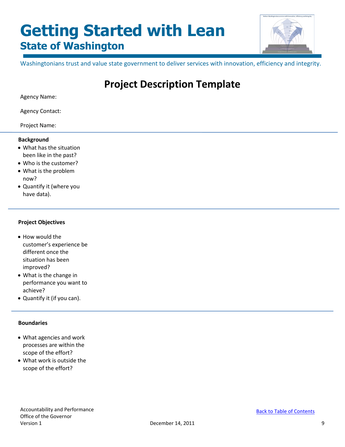

<span id="page-8-0"></span>Washingtonians trust and value state government to deliver services with innovation, efficiency and integrity.

# **Project Description Template**

Agency Name:

Agency Contact:

Project Name:

#### **Background**

- What has the situation been like in the past?
- Who is the customer?
- What is the problem now?
- Quantify it (where you have data).

#### **Project Objectives**

- How would the customer's experience be different once the situation has been improved?
- What is the change in performance you want to achieve?
- Quantify it (if you can).

### **Boundaries**

- What agencies and work processes are within the scope of the effort?
- What work is outside the scope of the effort?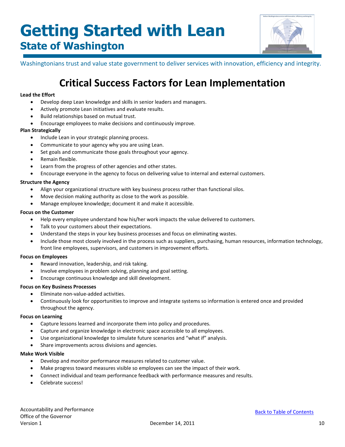

<span id="page-9-0"></span>Washingtonians trust and value state government to deliver services with innovation, efficiency and integrity.

# **Critical Success Factors for Lean Implementation**

#### **Lead the Effort**

- Develop deep Lean knowledge and skills in senior leaders and managers.
- Actively promote Lean initiatives and evaluate results.
- Build relationships based on mutual trust.
- Encourage employees to make decisions and continuously improve.

#### **Plan Strategically**

- Include Lean in your strategic planning process.
- Communicate to your agency why you are using Lean.
- Set goals and communicate those goals throughout your agency.
- Remain flexible.
- Learn from the progress of other agencies and other states.
- Encourage everyone in the agency to focus on delivering value to internal and external customers.

#### **Structure the Agency**

- Align your organizational structure with key business process rather than functional silos.
- Move decision making authority as close to the work as possible.
- Manage employee knowledge; document it and make it accessible.

#### **Focus on the Customer**

- Help every employee understand how his/her work impacts the value delivered to customers.
- Talk to your customers about their expectations.
- Understand the steps in your key business processes and focus on eliminating wastes.
- Include those most closely involved in the process such as suppliers, purchasing, human resources, information technology, front line employees, supervisors, and customers in improvement efforts.

#### **Focus on Employees**

- Reward innovation, leadership, and risk taking.
- Involve employees in problem solving, planning and goal setting.
- Encourage continuous knowledge and skill development.

#### **Focus on Key Business Processes**

- Eliminate non-value-added activities.
- Continuously look for opportunities to improve and integrate systems so information is entered once and provided throughout the agency.

#### **Focus on Learning**

- Capture lessons learned and incorporate them into policy and procedures.
- Capture and organize knowledge in electronic space accessible to all employees.
- Use organizational knowledge to simulate future scenarios and "what if" analysis.
- Share improvements across divisions and agencies.

#### **Make Work Visible**

- Develop and monitor performance measures related to customer value.
- Make progress toward measures visible so employees can see the impact of their work.
- Connect individual and team performance feedback with performance measures and results.
- Celebrate success!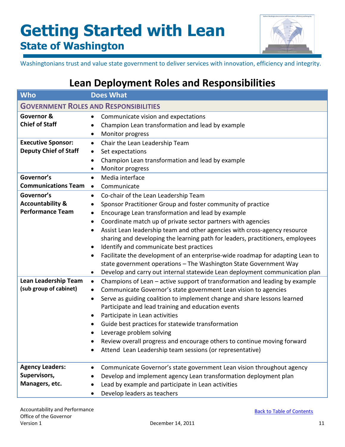

Washingtonians trust and value state government to deliver services with innovation, efficiency and integrity.

# **Lean Deployment Roles and Responsibilities**

<span id="page-10-0"></span>

| <b>Who</b>                                                           | <b>Does What</b>                                                                                                                                                                                                                                                                                                                                                                                                                                                                                                                                                                                                                                                                                                                           |  |
|----------------------------------------------------------------------|--------------------------------------------------------------------------------------------------------------------------------------------------------------------------------------------------------------------------------------------------------------------------------------------------------------------------------------------------------------------------------------------------------------------------------------------------------------------------------------------------------------------------------------------------------------------------------------------------------------------------------------------------------------------------------------------------------------------------------------------|--|
| <b>GOVERNMENT ROLES AND RESPONSIBILITIES</b>                         |                                                                                                                                                                                                                                                                                                                                                                                                                                                                                                                                                                                                                                                                                                                                            |  |
| Governor &<br><b>Chief of Staff</b>                                  | Communicate vision and expectations<br>$\bullet$<br>Champion Lean transformation and lead by example<br>Monitor progress<br>٠                                                                                                                                                                                                                                                                                                                                                                                                                                                                                                                                                                                                              |  |
| <b>Executive Sponsor:</b><br><b>Deputy Chief of Staff</b>            | Chair the Lean Leadership Team<br>$\bullet$<br>Set expectations<br>$\bullet$<br>Champion Lean transformation and lead by example<br>Monitor progress<br>$\bullet$                                                                                                                                                                                                                                                                                                                                                                                                                                                                                                                                                                          |  |
| Governor's<br><b>Communications Team</b>                             | Media interface<br>$\bullet$<br>Communicate<br>$\bullet$                                                                                                                                                                                                                                                                                                                                                                                                                                                                                                                                                                                                                                                                                   |  |
| Governor's<br><b>Accountability &amp;</b><br><b>Performance Team</b> | Co-chair of the Lean Leadership Team<br>$\bullet$<br>Sponsor Practitioner Group and foster community of practice<br>٠<br>Encourage Lean transformation and lead by example<br>$\bullet$<br>Coordinate match up of private sector partners with agencies<br>٠<br>Assist Lean leadership team and other agencies with cross-agency resource<br>$\bullet$<br>sharing and developing the learning path for leaders, practitioners, employees<br>Identify and communicate best practices<br>٠<br>Facilitate the development of an enterprise-wide roadmap for adapting Lean to<br>state government operations - The Washington State Government Way<br>Develop and carry out internal statewide Lean deployment communication plan<br>$\bullet$ |  |
| Lean Leadership Team<br>(sub group of cabinet)                       | Champions of Lean - active support of transformation and leading by example<br>$\bullet$<br>Communicate Governor's state government Lean vision to agencies<br>$\bullet$<br>Serve as guiding coalition to implement change and share lessons learned<br>$\bullet$<br>Participate and lead training and education events<br>Participate in Lean activities<br>Guide best practices for statewide transformation<br>$\bullet$<br>Leverage problem solving<br>Review overall progress and encourage others to continue moving forward<br>Attend Lean Leadership team sessions (or representative)                                                                                                                                             |  |
| <b>Agency Leaders:</b><br>Supervisors,<br>Managers, etc.             | Communicate Governor's state government Lean vision throughout agency<br>$\bullet$<br>Develop and implement agency Lean transformation deployment plan<br>Lead by example and participate in Lean activities<br>Develop leaders as teachers                                                                                                                                                                                                                                                                                                                                                                                                                                                                                                |  |